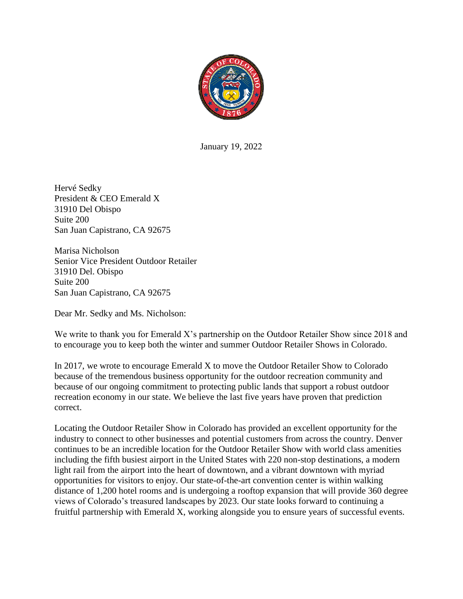

January 19, 2022

Hervé Sedky President & CEO Emerald X 31910 Del Obispo Suite 200 San Juan Capistrano, CA 92675

Marisa Nicholson Senior Vice President Outdoor Retailer 31910 Del. Obispo Suite 200 San Juan Capistrano, CA 92675

Dear Mr. Sedky and Ms. Nicholson:

We write to thank you for Emerald X's partnership on the Outdoor Retailer Show since 2018 and to encourage you to keep both the winter and summer Outdoor Retailer Shows in Colorado.

In 2017, we wrote to encourage Emerald X to move the Outdoor Retailer Show to Colorado because of the tremendous business opportunity for the outdoor recreation community and because of our ongoing commitment to protecting public lands that support a robust outdoor recreation economy in our state. We believe the last five years have proven that prediction correct.

Locating the Outdoor Retailer Show in Colorado has provided an excellent opportunity for the industry to connect to other businesses and potential customers from across the country. Denver continues to be an incredible location for the Outdoor Retailer Show with world class amenities including the fifth busiest airport in the United States with 220 non-stop destinations, a modern light rail from the airport into the heart of downtown, and a vibrant downtown with myriad opportunities for visitors to enjoy. Our state-of-the-art convention center is within walking distance of 1,200 hotel rooms and is undergoing a rooftop expansion that will provide 360 degree views of Colorado's treasured landscapes by 2023. Our state looks forward to continuing a fruitful partnership with Emerald X, working alongside you to ensure years of successful events.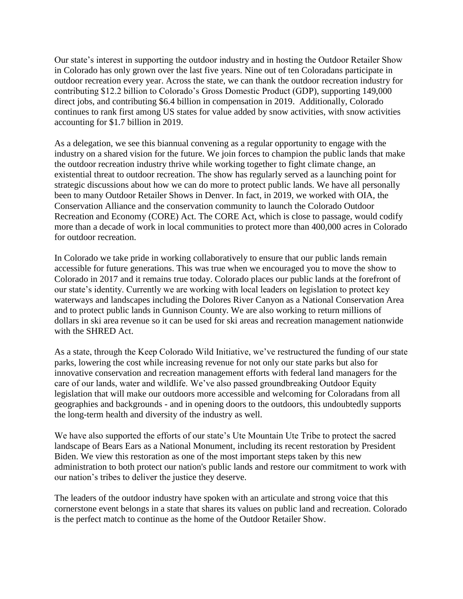Our state's interest in supporting the outdoor industry and in hosting the Outdoor Retailer Show in Colorado has only grown over the last five years. Nine out of ten Coloradans participate in outdoor recreation every year. Across the state, we can thank the outdoor recreation industry for contributing \$12.2 billion to Colorado's Gross Domestic Product (GDP), supporting 149,000 direct jobs, and contributing \$6.4 billion in compensation in 2019. Additionally, Colorado continues to rank first among US states for value added by snow activities, with snow activities accounting for \$1.7 billion in 2019.

As a delegation, we see this biannual convening as a regular opportunity to engage with the industry on a shared vision for the future. We join forces to champion the public lands that make the outdoor recreation industry thrive while working together to fight climate change, an existential threat to outdoor recreation. The show has regularly served as a launching point for strategic discussions about how we can do more to protect public lands. We have all personally been to many Outdoor Retailer Shows in Denver. In fact, in 2019, we worked with OIA, the Conservation Alliance and the conservation community to launch the Colorado Outdoor Recreation and Economy (CORE) Act. The CORE Act, which is close to passage, would codify more than a decade of work in local communities to protect more than 400,000 acres in Colorado for outdoor recreation.

In Colorado we take pride in working collaboratively to ensure that our public lands remain accessible for future generations. This was true when we encouraged you to move the show to Colorado in 2017 and it remains true today. Colorado places our public lands at the forefront of our state's identity. Currently we are working with local leaders on legislation to protect key waterways and landscapes including the Dolores River Canyon as a National Conservation Area and to protect public lands in Gunnison County. We are also working to return millions of dollars in ski area revenue so it can be used for ski areas and recreation management nationwide with the SHRED Act.

As a state, through the Keep Colorado Wild Initiative, we've restructured the funding of our state parks, lowering the cost while increasing revenue for not only our state parks but also for innovative conservation and recreation management efforts with federal land managers for the care of our lands, water and wildlife. We've also passed groundbreaking Outdoor Equity legislation that will make our outdoors more accessible and welcoming for Coloradans from all geographies and backgrounds - and in opening doors to the outdoors, this undoubtedly supports the long-term health and diversity of the industry as well.

We have also supported the efforts of our state's Ute Mountain Ute Tribe to protect the sacred landscape of Bears Ears as a National Monument, including its recent restoration by President Biden. We view this restoration as one of the most important steps taken by this new administration to both protect our nation's public lands and restore our commitment to work with our nation's tribes to deliver the justice they deserve.

The leaders of the outdoor industry have spoken with an articulate and strong voice that this cornerstone event belongs in a state that shares its values on public land and recreation. Colorado is the perfect match to continue as the home of the Outdoor Retailer Show.